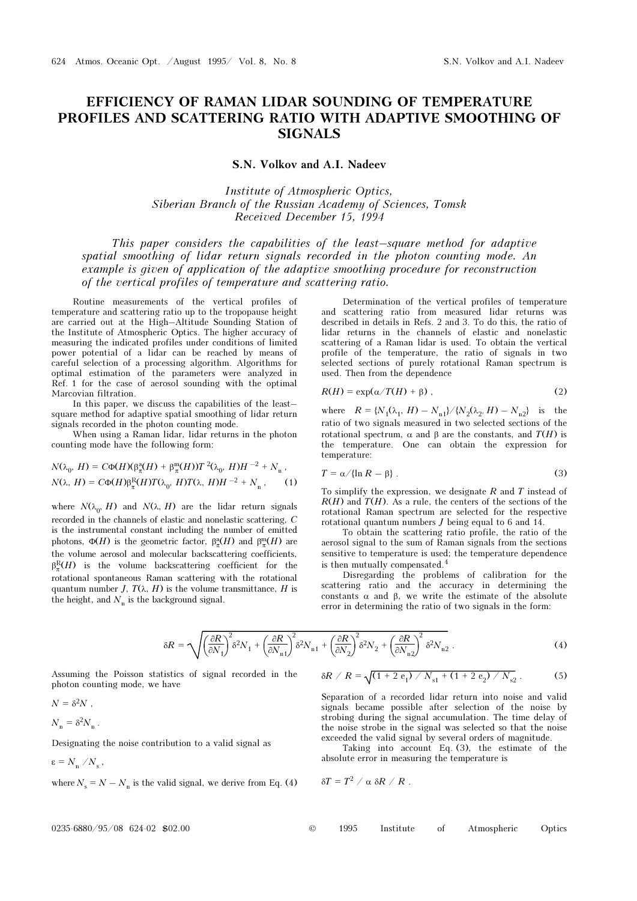## EFFICIENCY OF RAMAN LIDAR SOUNDING OF TEMPERATURE PROFILES AND SCATTERING RATIO WITH ADAPTIVE SMOOTHING OF SIGNALS

S.N. Volkov and A.I. Nadeev

Institute of Atmospheric Optics, Siberian Branch of the Russian Academy of Sciences, Tomsk Received December 15, 1994

This paper considers the capabilities of the least–square method for adaptive spatial smoothing of lidar return signals recorded in the photon counting mode. An example is given of application of the adaptive smoothing procedure for reconstruction of the vertical profiles of temperature and scattering ratio.

Routine measurements of the vertical profiles of temperature and scattering ratio up to the tropopause height are carried out at the High–Altitude Sounding Station of the Institute of Atmospheric Optics. The higher accuracy of measuring the indicated profiles under conditions of limited power potential of a lidar can be reached by means of careful selection of a processing algorithm. Algorithms for optimal estimation of the parameters were analyzed in Ref. 1 for the case of aerosol sounding with the optimal Marcovian filtration.

In this paper, we discuss the capabilities of the least– square method for adaptive spatial smoothing of lidar return signals recorded in the photon counting mode.

When using a Raman lidar, lidar returns in the photon counting mode have the following form:

$$
N(\lambda_0, H) = C\Phi(H)(\beta_{\pi}^{\alpha}(H) + \beta_{\pi}^{\mathfrak{m}}(H))T^2(\lambda_0, H)H^{-2} + N_{\mathfrak{n}},
$$
  

$$
N(\lambda, H) = C\Phi(H)\beta_{\pi}^{\mathfrak{R}}(H)T(\lambda_0, H)T(\lambda, H)H^{-2} + N_{\mathfrak{n}},
$$
 (1)

where  $N(\lambda_0, H)$  and  $N(\lambda, H)$  are the lidar return signals recorded in the channels of elastic and nonelastic scattering, C is the instrumental constant including the number of emitted photons,  $\Phi(H)$  is the geometric factor,  $\beta_{\pi}^{\rm a}(H)$  and  $\beta_{\pi}^{\rm m}(H)$  are the volume aerosol and molecular backscattering coefficients,  $\beta_{\pi}^{R}(H)$  is the volume backscattering coefficient for the  $r_n$ <sup>n</sup> rotational spontaneous Raman scattering with the rotational quantum number J,  $T(\lambda, H)$  is the volume transmittance, H is the height, and  $N_n$  is the background signal.

Determination of the vertical profiles of temperature and scattering ratio from measured lidar returns was described in details in Refs. 2 and 3. To do this, the ratio of lidar returns in the channels of elastic and nonelastic scattering of a Raman lidar is used. To obtain the vertical profile of the temperature, the ratio of signals in two selected sections of purely rotational Raman spectrum is used. Then from the dependence

$$
R(H) = \exp(\alpha/T(H) + \beta) \tag{2}
$$

where  $R = {N_1(\lambda_1, H) - N_{n1}}/{N_2(\lambda_2, H) - N_{n2}}$  is the ratio of two signals measured in two selected sections of the rotational spectrum, α and β are the constants, and  $T(H)$  is the temperature. One can obtain the expression for temperature:

$$
T = \alpha / \{\ln R - \beta\} \tag{3}
$$

To simplify the expression, we designate  $R$  and  $T$  instead of  $R(H)$  and  $T(H)$ . As a rule, the centers of the sections of the rotational Raman spectrum are selected for the respective rotational quantum numbers  $J$  being equal to 6 and 14.

To obtain the scattering ratio profile, the ratio of the aerosol signal to the sum of Raman signals from the sections sensitive to temperature is used; the temperature dependence is then mutually compensated.<sup>4</sup>

Disregarding the problems of calibration for the scattering ratio and the accuracy in determining the constants α and β, we write the estimate of the absolute error in determining the ratio of two signals in the form:

$$
\delta R = \sqrt{\left(\frac{\partial R}{\partial N_1}\right)^2 \delta^2 N_1 + \left(\frac{\partial R}{\partial N_{n1}}\right)^2 \delta^2 N_{n1} + \left(\frac{\partial R}{\partial N_2}\right)^2 \delta^2 N_2 + \left(\frac{\partial R}{\partial N_{n2}}\right)^2 \delta^2 N_{n2}}.
$$
\n(4)

Assuming the Poisson statistics of signal recorded in the photon counting mode, we have

$$
\delta R / R = \sqrt{(1 + 2 e_1) / N_{s1} + (1 + 2 e_2) / N_{s2}}.
$$
 (5)

Separation of a recorded lidar return into noise and valid signals became possible after selection of the noise by strobing during the signal accumulation. The time delay of the noise strobe in the signal was selected so that the noise exceeded the valid signal by several orders of magnitude.

Taking into account Eq. (3), the estimate of the absolute error in measuring the temperature is

where 
$$
N_s = N - N_n
$$
 is the valid signal, we derive from Eq. (4)

Designating the noise contribution to a valid signal as

$$
\delta T = T^2 / \alpha \delta R / R .
$$

 $N = \delta^2 N$ ,  $N_n = \delta^2 N_n$ .

 $\varepsilon = N_{\rm n} / N_{\rm s}$ ,

| $0235 - 6880 / 95 / 08$ 624-02 \$02.00<br>1995 |  |  | i Institute of Atmospheric Optics |  |
|------------------------------------------------|--|--|-----------------------------------|--|
|------------------------------------------------|--|--|-----------------------------------|--|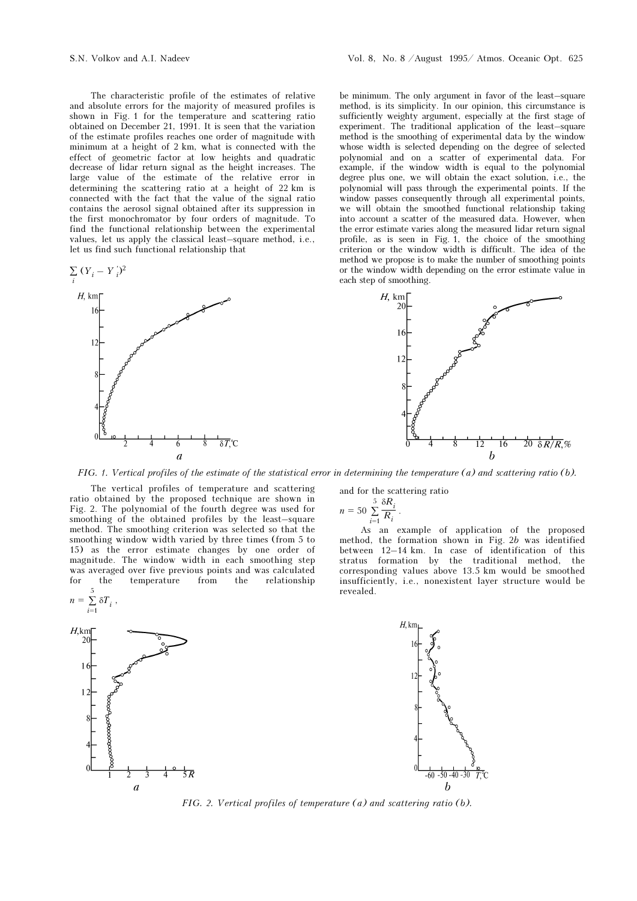The characteristic profile of the estimates of relative and absolute errors for the majority of measured profiles is shown in Fig. 1 for the temperature and scattering ratio obtained on December 21, 1991. It is seen that the variation of the estimate profiles reaches one order of magnitude with minimum at a height of 2 km, what is connected with the effect of geometric factor at low heights and quadratic decrease of lidar return signal as the height increases. The large value of the estimate of the relative error in determining the scattering ratio at a height of 22 km is connected with the fact that the value of the signal ratio contains the aerosol signal obtained after its suppression in the first monochromator by four orders of magnitude. To find the functional relationship between the experimental values, let us apply the classical least–square method, i.e., let us find such functional relationship that





be minimum. The only argument in favor of the least–square method, is its simplicity. In our opinion, this circumstance is sufficiently weighty argument, especially at the first stage of experiment. The traditional application of the least–square method is the smoothing of experimental data by the window whose width is selected depending on the degree of selected polynomial and on a scatter of experimental data. For example, if the window width is equal to the polynomial degree plus one, we will obtain the exact solution, i.e., the polynomial will pass through the experimental points. If the window passes consequently through all experimental points, we will obtain the smoothed functional relationship taking into account a scatter of the measured data. However, when the error estimate varies along the measured lidar return signal profile, as is seen in Fig. 1, the choice of the smoothing criterion or the window width is difficult. The idea of the method we propose is to make the number of smoothing points or the window width depending on the error estimate value in each step of smoothing.



FIG. 1. Vertical profiles of the estimate of the statistical error in determining the temperature (a) and scattering ratio (b).

The vertical profiles of temperature and scattering ratio obtained by the proposed technique are shown in Fig. 2. The polynomial of the fourth degree was used for smoothing of the obtained profiles by the least–square method. The smoothing criterion was selected so that the smoothing window width varied by three times (from 5 to 15) as the error estimate changes by one order of magnitude. The window width in each smoothing step was averaged over five previous points and was calculated for the temperature from the relationship



and for the scattering ratio

$$
n = 50 \sum_{i=1}^{5} \frac{\delta R_i}{R_i}.
$$

As an example of application of the proposed method, the formation shown in Fig. 2b was identified between 12–14 km. In case of identification of this stratus formation by the traditional method, the corresponding values above 13.5 km would be smoothed insufficiently, i.e., nonexistent layer structure would be revealed.

> $H<sub>k</sub>$  $-50 - 40 - 30$

FIG. 2. Vertical profiles of temperature (a) and scattering ratio (b).